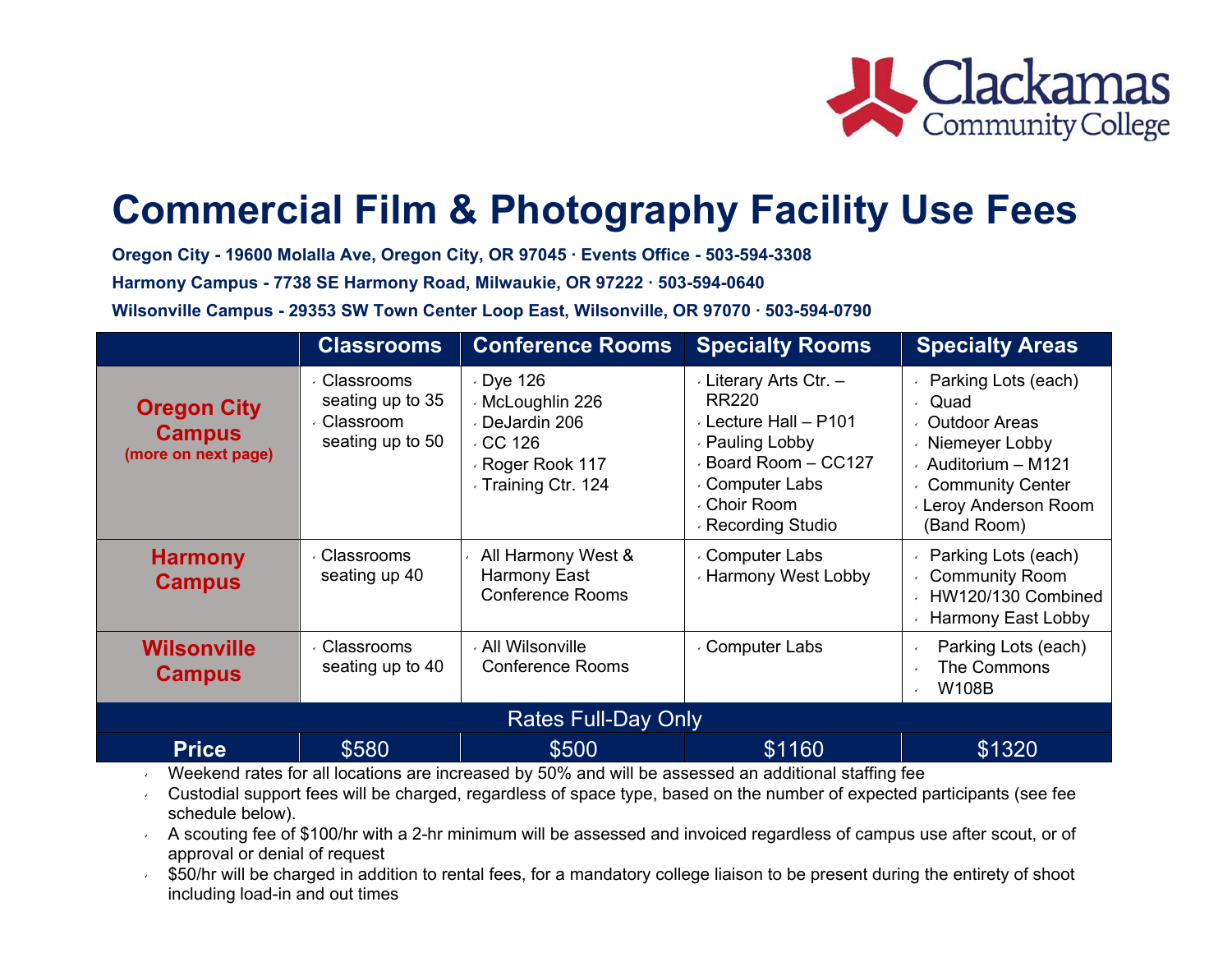

# **Commercial Film & Photography Facility Use Fees**

**Oregon City - 19600 Molalla Ave, Oregon City, OR 97045 ∙ Events Office - 503-594-3308**

**Harmony Campus - 7738 SE Harmony Road, Milwaukie, OR 97222 ∙ 503-594-0640**

**Wilsonville Campus - 29353 SW Town Center Loop East, Wilsonville, OR 97070 ∙ 503-594-0790**

|                                                                                                               | <b>Classrooms</b>                                                | <b>Conference Rooms</b>                                                                                        | <b>Specialty Rooms</b>                                                                                                                                      | <b>Specialty Areas</b>                                                                                                                                             |  |  |
|---------------------------------------------------------------------------------------------------------------|------------------------------------------------------------------|----------------------------------------------------------------------------------------------------------------|-------------------------------------------------------------------------------------------------------------------------------------------------------------|--------------------------------------------------------------------------------------------------------------------------------------------------------------------|--|--|
| <b>Oregon City</b><br><b>Campus</b><br>(more on next page)                                                    | ∈Classrooms<br>seating up to 35<br>Classroom<br>seating up to 50 | $\cdot$ Dye 126<br>⋅ McLoughlin 226<br>DeJardin 206<br>$\cdot$ CC 126<br>Roger Rook 117<br>⋅ Training Ctr. 124 | Literary Arts Ctr. -<br>RR220<br>Lecture Hall - P101<br>⋅ Pauling Lobby<br>Board Room - CC127<br><b>Computer Labs</b><br>√ Choir Room<br>⋅ Recording Studio | Parking Lots (each)<br>Quad<br>← Outdoor Areas<br>√ Niemeyer Lobby<br>$\cdot$ Auditorium - M121<br>← Community Center<br><b>Leroy Anderson Room</b><br>(Band Room) |  |  |
| <b>Harmony</b><br><b>Campus</b>                                                                               | ⋅ Classrooms<br>seating up 40                                    | All Harmony West &<br>Harmony East<br><b>Conference Rooms</b>                                                  | <b>Computer Labs</b><br>⋅ Harmony West Lobby                                                                                                                | Parking Lots (each)<br><b>Community Room</b><br>HW120/130 Combined<br><b>Harmony East Lobby</b>                                                                    |  |  |
| <b>Wilsonville</b><br><b>Campus</b>                                                                           | <b>Classrooms</b><br>seating up to 40                            | All Wilsonville<br><b>Conference Rooms</b>                                                                     | ⋅ Computer Labs                                                                                                                                             | Parking Lots (each)<br>$\epsilon$<br>The Commons<br><b>W108B</b><br>$\mathbf{r}$                                                                                   |  |  |
| <b>Rates Full-Day Only</b>                                                                                    |                                                                  |                                                                                                                |                                                                                                                                                             |                                                                                                                                                                    |  |  |
| <b>Price</b>                                                                                                  | \$580                                                            | \$500                                                                                                          | \$1160                                                                                                                                                      | \$1320                                                                                                                                                             |  |  |
| and relationship to the magnetic management of 10 voltage in the series and the response to the same that the |                                                                  |                                                                                                                |                                                                                                                                                             |                                                                                                                                                                    |  |  |

٧ Weekend rates for all locations are increased by 50% and will be assessed an additional staffing fee

v Custodial support fees will be charged, regardless of space type, based on the number of expected participants (see fee schedule below).

 $\sim$  A scouting fee of \$100/hr with a 2-hr minimum will be assessed and invoiced regardless of campus use after scout, or of approval or denial of request

 $\mathbf{v}$  \$50/hr will be charged in addition to rental fees, for a mandatory college liaison to be present during the entirety of shoot including load-in and out times